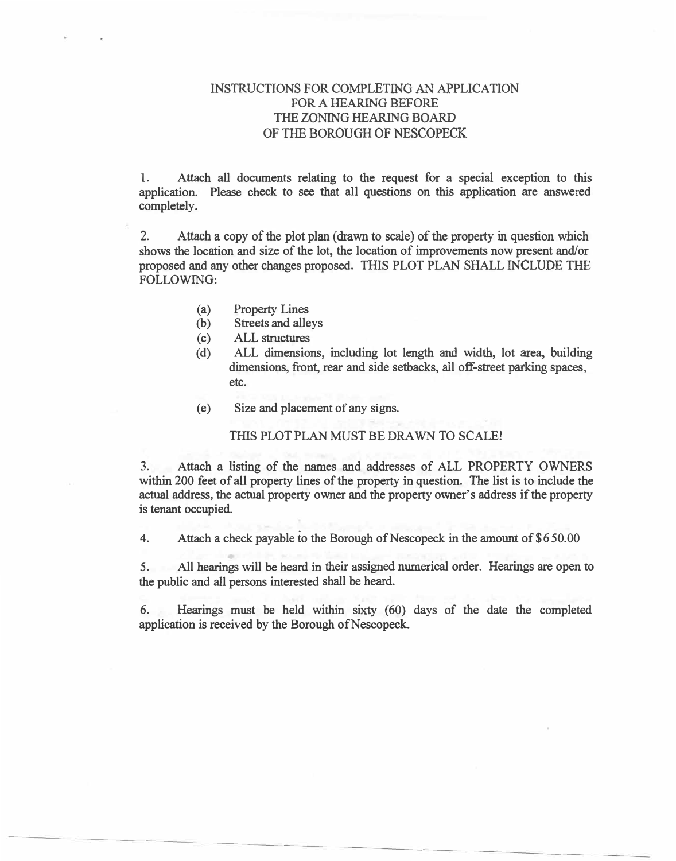### **INSTRUCTIONS FOR COMPLETING AN APPLICATION FOR A HEARING BEFORE**  THE ZONING HEARING BOARD OF THE **BOROUGH OF NESCOPECK**

**1. Attach all documents relating to the request for a special exception to this application. Please check to see that all questions on this application are answered completely.**

**2.**Attach a copy of the plot plan (drawn to scale) of the property in question which **shows the location and size of the lot, the location of improvements now present and/or proposed and any other changes proposed. THIS PLOT PLAN SHALL INCLUDE THE FOLLOWING:**

- **(a) Property Lines**
- **(b) Streets and alleys**
- **(c) ALL structures**
- **(d) ALL dimensions, including lot length and width, lot area, building dimensions, front, rear and side setbacks, all off-street parking spaces, etc.**
- **(e) Size and placement ofany signs.**

**THIS PLOT PLAN MUST BE DRAWN TO SCALE!**

**3. Attach a listing of the names and addresses of ALL PROPERTY OWNERS within 200 feet of all property lines of the property in question. The list is to include the actual address, the actual property owner and the property owner's address if the property is tenant occupied.**

**4.**Attach a check payable to the Borough of Nescopeck in the amount of \$650.00

**5. All hearings will be heard in their assigned numerical order. Hearings are open to the public and all persons interested shall be heard.**

**6. Hearings must be held within sixty ( 60) days of the date the completed**  application is received by the Borough of Nescopeck.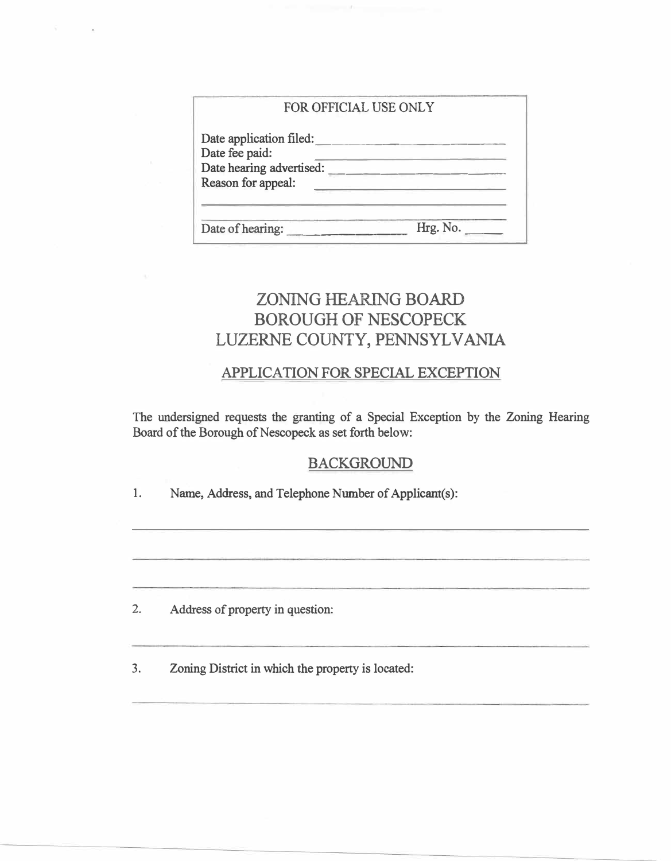#### FOR OFFICIAL USE ONLY

| Date application filed:<br>Date fee paid:<br>Date hearing advertised:<br>Reason for appeal: |          |
|---------------------------------------------------------------------------------------------|----------|
| Date of hearing:                                                                            | Hrg. No. |

# ZONING HEARING BOARD BOROUGH OF NESCOPECK LUZERNE COUNTY, PENNSYLVANIA

# **APPLICATION FOR SPECIAL EXCEPTION**

The undersigned requests the granting of a Special Exception by the Zoning Hearing Board of the Borough of Nescopeck as set forth below:

## BACKGROUND

1. Name, Address, and Telephone Number of Applicant(s):

2. Address of property in question:

3. Zoning District in which the property is located: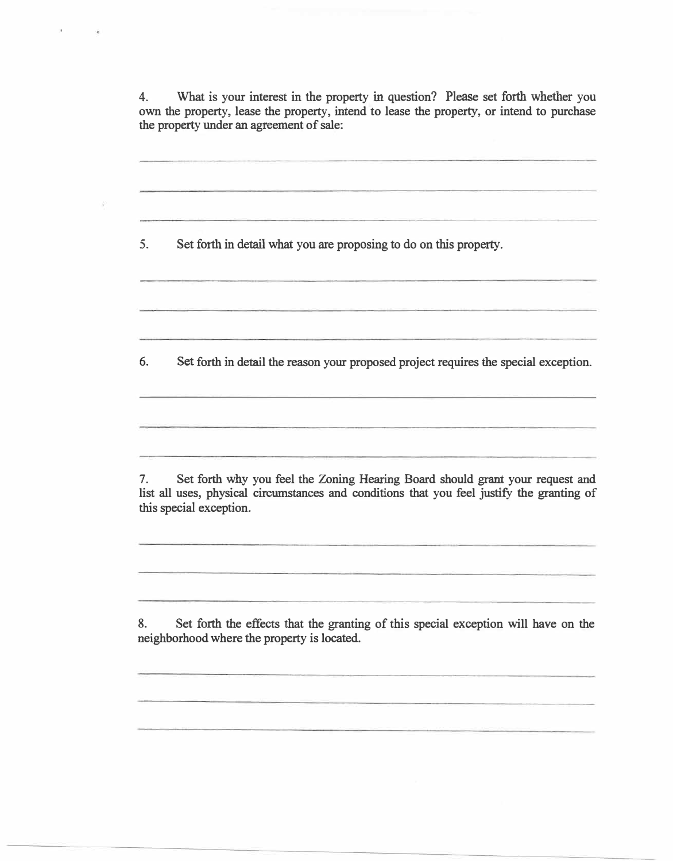**4. What is your interest in the property in question? Please set forth whether you own the property, lease the property, intend to lease the property, or intend to purchase the property under an agreement of sale:**

5. **Set forth in detail what you are proposing to do on this property.** 6. **Set forth in detail the reason your proposed project requires the special exception. 7. Set forth why you feel the Zoning Hearing Board should grant your request and list all uses, physical circumstances and conditions that you feel justify the granting of this special exception. 8. Set forth the effects that the granting of this special exception will have on the neighborhood where the property is located.**